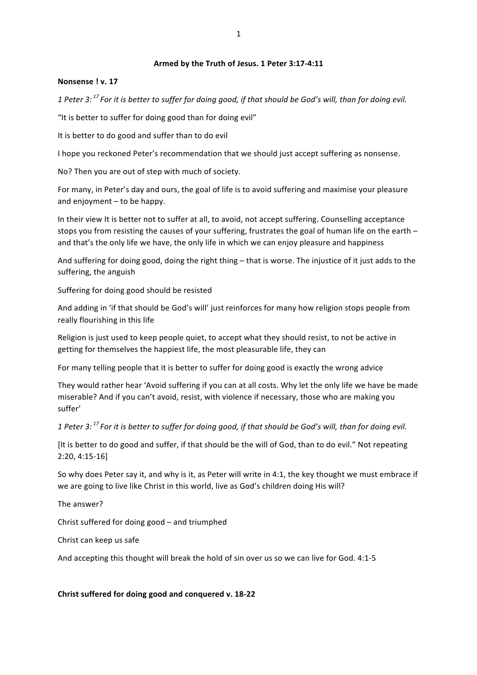#### Armed by the Truth of Jesus. 1 Peter 3:17-4:11

#### **Nonsense ! v. 17**

1 Peter 3:<sup>17</sup> For it is better to suffer for doing good, if that should be God's will, than for doing evil.

"It is better to suffer for doing good than for doing evil"

It is better to do good and suffer than to do evil

I hope you reckoned Peter's recommendation that we should just accept suffering as nonsense.

No? Then you are out of step with much of society.

For many, in Peter's day and ours, the goal of life is to avoid suffering and maximise your pleasure and enjoyment  $-$  to be happy.

In their view It is better not to suffer at all, to avoid, not accept suffering. Counselling acceptance stops you from resisting the causes of your suffering, frustrates the goal of human life on the earth  $$ and that's the only life we have, the only life in which we can enjoy pleasure and happiness

And suffering for doing good, doing the right thing – that is worse. The injustice of it just adds to the suffering, the anguish

Suffering for doing good should be resisted

And adding in 'if that should be God's will' just reinforces for many how religion stops people from really flourishing in this life

Religion is just used to keep people quiet, to accept what they should resist, to not be active in getting for themselves the happiest life, the most pleasurable life, they can

For many telling people that it is better to suffer for doing good is exactly the wrong advice

They would rather hear 'Avoid suffering if you can at all costs. Why let the only life we have be made miserable? And if you can't avoid, resist, with violence if necessary, those who are making you suffer'

1 Peter 3:<sup>17</sup> For it is better to suffer for doing good, if that should be God's will, than for doing evil.

[It is better to do good and suffer, if that should be the will of God, than to do evil." Not repeating 2:20, 4:15-16]

So why does Peter say it, and why is it, as Peter will write in 4:1, the key thought we must embrace if we are going to live like Christ in this world, live as God's children doing His will?

The answer?

Christ suffered for doing  $good$  – and triumphed

Christ can keep us safe

And accepting this thought will break the hold of sin over us so we can live for God.  $4:1-5$ 

**Christ suffered for doing good and conquered v. 18-22**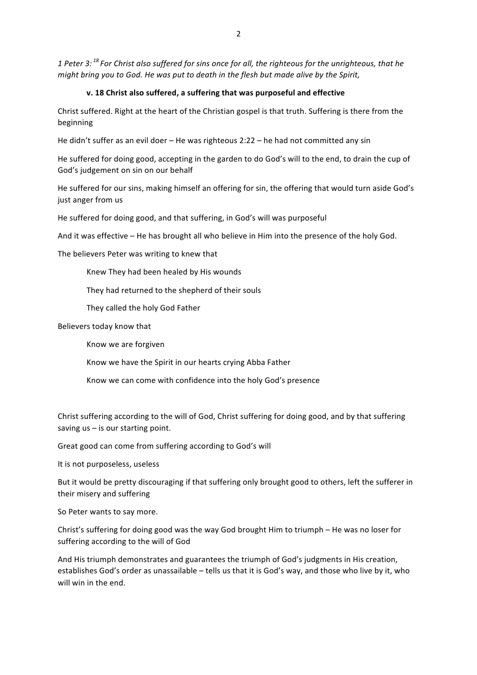*1* Peter 3: <sup>18</sup> For Christ also suffered for sins once for all, the righteous for the unrighteous, that he *might bring you to God. He was put to death in the flesh but made alive by the Spirit,* 

#### **v. 18 Christ also suffered, a suffering that was purposeful and effective**

Christ suffered. Right at the heart of the Christian gospel is that truth. Suffering is there from the beginning

He didn't suffer as an evil doer – He was righteous  $2:22 -$  he had not committed any sin

He suffered for doing good, accepting in the garden to do God's will to the end, to drain the cup of God's judgement on sin on our behalf

He suffered for our sins, making himself an offering for sin, the offering that would turn aside God's just anger from us

He suffered for doing good, and that suffering, in God's will was purposeful

And it was effective – He has brought all who believe in Him into the presence of the holy God.

The believers Peter was writing to knew that

Knew They had been healed by His wounds

They had returned to the shepherd of their souls

They called the holy God Father

Believers today know that

Know we are forgiven

Know we have the Spirit in our hearts crying Abba Father

Know we can come with confidence into the holy God's presence

Christ suffering according to the will of God, Christ suffering for doing good, and by that suffering saving  $us - is$  our starting point.

Great good can come from suffering according to God's will

It is not purposeless, useless

But it would be pretty discouraging if that suffering only brought good to others, left the sufferer in their misery and suffering

So Peter wants to say more.

Christ's suffering for doing good was the way God brought Him to triumph - He was no loser for suffering according to the will of God

And His triumph demonstrates and guarantees the triumph of God's judgments in His creation, establishes God's order as unassailable – tells us that it is God's way, and those who live by it, who will win in the end.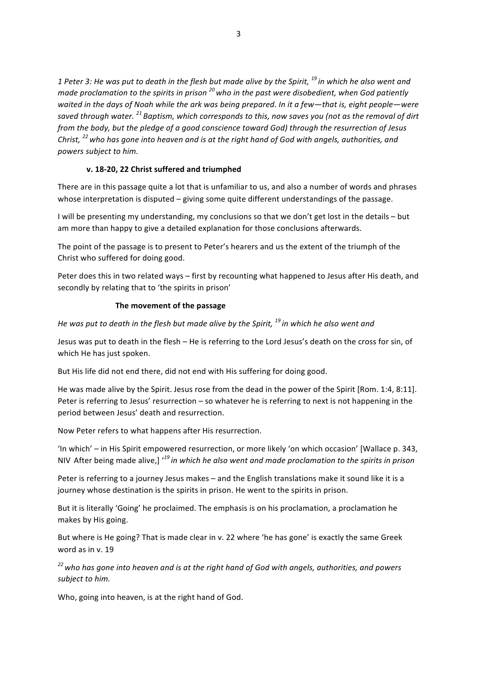1 Peter 3: He was put to death in the flesh but made alive by the Spirit, <sup>19</sup> in which he also went and *made proclamation to the spirits in prison*  $^{20}$  who in the past were disobedient, when God patiently waited in the days of Noah while the ark was being prepared. In it a few-that is, eight people-were saved through water. <sup>21</sup> Baptism, which corresponds to this, now saves you (not as the removal of dirt *from the body, but the pledge of a good conscience toward God) through the resurrection of Jesus Christ,* <sup>22</sup> who has gone into heaven and is at the right hand of God with angels, authorities, and *powers subject to him.*

## v. 18-20, 22 Christ suffered and triumphed

There are in this passage quite a lot that is unfamiliar to us, and also a number of words and phrases whose interpretation is disputed  $-$  giving some quite different understandings of the passage.

I will be presenting my understanding, my conclusions so that we don't get lost in the details - but am more than happy to give a detailed explanation for those conclusions afterwards.

The point of the passage is to present to Peter's hearers and us the extent of the triumph of the Christ who suffered for doing good.

Peter does this in two related ways – first by recounting what happened to Jesus after His death, and secondly by relating that to 'the spirits in prison'

#### **The movement of the passage**

*He* was put to death in the flesh but made alive by the Spirit, <sup>19</sup> in which he also went and

Jesus was put to death in the flesh – He is referring to the Lord Jesus's death on the cross for sin, of which He has just spoken.

But His life did not end there, did not end with His suffering for doing good.

He was made alive by the Spirit. Jesus rose from the dead in the power of the Spirit [Rom. 1:4, 8:11]. Peter is referring to Jesus' resurrection – so whatever he is referring to next is not happening in the period between Jesus' death and resurrection.

Now Peter refers to what happens after His resurrection.

'In which' – in His Spirit empowered resurrection, or more likely 'on which occasion' [Wallace p. 343, NIV After being made alive,]  $'^{19}$  *in which he also went and made proclamation to the spirits in prison* 

Peter is referring to a journey Jesus makes – and the English translations make it sound like it is a journey whose destination is the spirits in prison. He went to the spirits in prison.

But it is literally 'Going' he proclaimed. The emphasis is on his proclamation, a proclamation he makes by His going.

But where is He going? That is made clear in v. 22 where 'he has gone' is exactly the same Greek word as in v. 19

<sup>22</sup> who has gone into heaven and is at the right hand of God with angels, authorities, and powers subject to him.

Who, going into heaven, is at the right hand of God.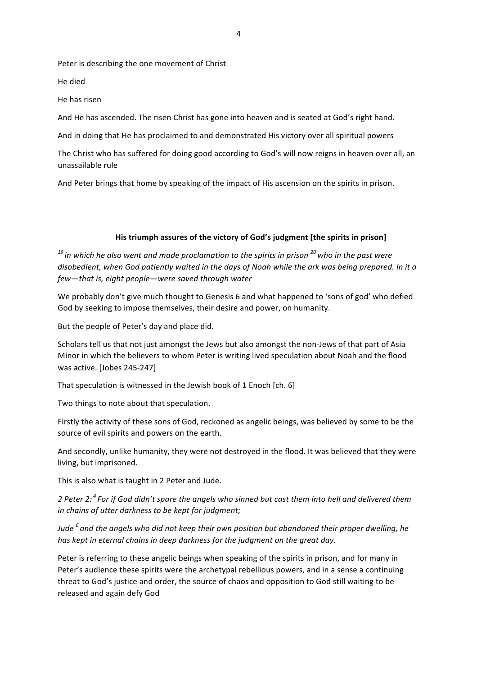Peter is describing the one movement of Christ

He died

He has risen

And He has ascended. The risen Christ has gone into heaven and is seated at God's right hand.

And in doing that He has proclaimed to and demonstrated His victory over all spiritual powers

The Christ who has suffered for doing good according to God's will now reigns in heaven over all, an unassailable rule

And Peter brings that home by speaking of the impact of His ascension on the spirits in prison.

## His triumph assures of the victory of God's judgment [the spirits in prison]

<sup>19</sup> in which he also went and made proclamation to the spirits in prison <sup>20</sup> who in the past were disobedient, when God patiently waited in the days of Noah while the ark was being prepared. In it a *few—that is, eight people—were saved through water* 

We probably don't give much thought to Genesis 6 and what happened to 'sons of god' who defied God by seeking to impose themselves, their desire and power, on humanity.

But the people of Peter's day and place did.

Scholars tell us that not just amongst the Jews but also amongst the non-Jews of that part of Asia Minor in which the believers to whom Peter is writing lived speculation about Noah and the flood was active. [Jobes 245-247]

That speculation is witnessed in the Jewish book of 1 Enoch [ch. 6]

Two things to note about that speculation.

Firstly the activity of these sons of God, reckoned as angelic beings, was believed by some to be the source of evil spirits and powers on the earth.

And secondly, unlike humanity, they were not destroyed in the flood. It was believed that they were living, but imprisoned.

This is also what is taught in 2 Peter and Jude.

2 Peter 2:<sup>4</sup> For if God didn't spare the angels who sinned but cast them into hell and delivered them *in* chains of utter darkness to be kept for judgment;

*Jude*<sup>6</sup> and the angels who did not keep their own position but abandoned their proper dwelling, he *has kept in eternal chains in deep darkness for the judament on the areat day.* 

Peter is referring to these angelic beings when speaking of the spirits in prison, and for many in Peter's audience these spirits were the archetypal rebellious powers, and in a sense a continuing threat to God's justice and order, the source of chaos and opposition to God still waiting to be released and again defy God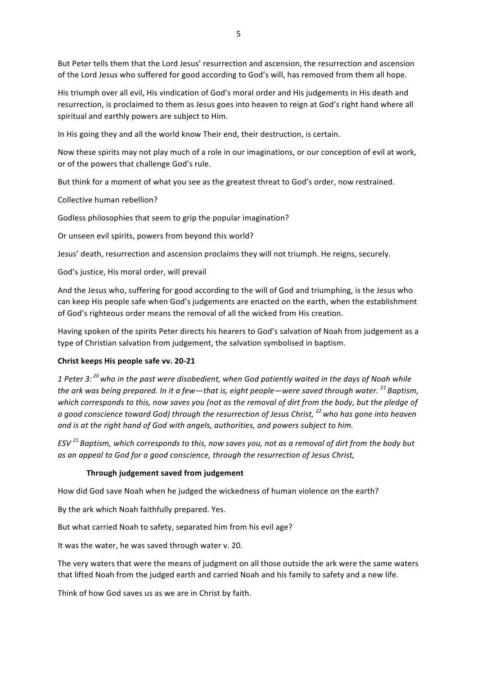But Peter tells them that the Lord Jesus' resurrection and ascension, the resurrection and ascension of the Lord Jesus who suffered for good according to God's will, has removed from them all hope.

His triumph over all evil. His vindication of God's moral order and His judgements in His death and resurrection, is proclaimed to them as Jesus goes into heaven to reign at God's right hand where all spiritual and earthly powers are subject to Him.

In His going they and all the world know Their end, their destruction, is certain.

Now these spirits may not play much of a role in our imaginations, or our conception of evil at work, or of the powers that challenge God's rule.

But think for a moment of what you see as the greatest threat to God's order, now restrained.

Collective human rebellion?

Godless philosophies that seem to grip the popular imagination?

Or unseen evil spirits, powers from beyond this world?

Jesus' death, resurrection and ascension proclaims they will not triumph. He reigns, securely.

God's justice, His moral order, will prevail

And the Jesus who, suffering for good according to the will of God and triumphing, is the Jesus who can keep His people safe when God's judgements are enacted on the earth, when the establishment of God's righteous order means the removal of all the wicked from His creation.

Having spoken of the spirits Peter directs his hearers to God's salvation of Noah from judgement as a type of Christian salvation from judgement, the salvation symbolised in baptism.

## Christ keeps His people safe vv. 20-21

1 Peter 3:<sup>20</sup> who in the past were disobedient, when God patiently waited in the days of Noah while *the ark was being prepared. In it a few—that is, eight people—were saved through water.* <sup>21</sup> Baptism, which corresponds to this, now saves you (not as the removal of dirt from the body, but the pledge of *a* good conscience toward God) through the resurrection of Jesus Christ, <sup>22</sup> who has gone into heaven and is at the right hand of God with angels, authorities, and powers subject to him.

*ESV*<sup>21</sup> *Baptism, which corresponds to this, now saves you, not as a removal of dirt from the body but* as an appeal to God for a good conscience, through the resurrection of Jesus Christ,

## **Through judgement saved from judgement**

How did God save Noah when he judged the wickedness of human violence on the earth?

By the ark which Noah faithfully prepared. Yes.

But what carried Noah to safety, separated him from his evil age?

It was the water, he was saved through water v. 20.

The very waters that were the means of judgment on all those outside the ark were the same waters that lifted Noah from the judged earth and carried Noah and his family to safety and a new life.

Think of how God saves us as we are in Christ by faith.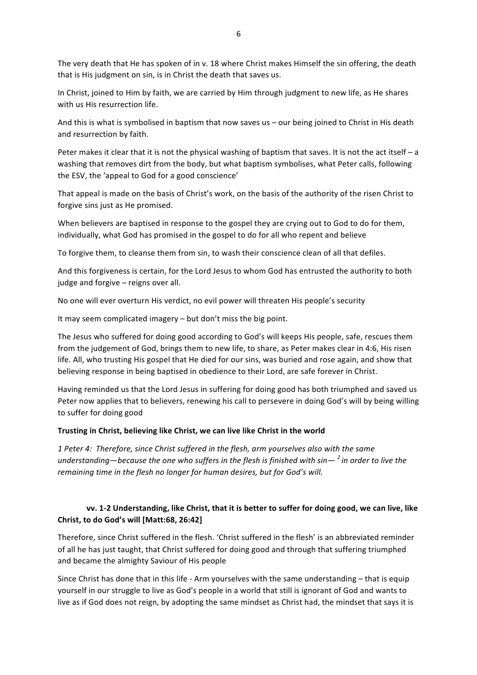The very death that He has spoken of in v. 18 where Christ makes Himself the sin offering, the death that is His judgment on sin, is in Christ the death that saves us.

In Christ, joined to Him by faith, we are carried by Him through judgment to new life, as He shares with us His resurrection life.

And this is what is symbolised in baptism that now saves us – our being joined to Christ in His death and resurrection by faith.

Peter makes it clear that it is not the physical washing of baptism that saves. It is not the act itself  $-$  a washing that removes dirt from the body, but what baptism symbolises, what Peter calls, following the ESV, the 'appeal to God for a good conscience'

That appeal is made on the basis of Christ's work, on the basis of the authority of the risen Christ to forgive sins just as He promised.

When believers are baptised in response to the gospel they are crying out to God to do for them, individually, what God has promised in the gospel to do for all who repent and believe

To forgive them, to cleanse them from sin, to wash their conscience clean of all that defiles.

And this forgiveness is certain, for the Lord Jesus to whom God has entrusted the authority to both judge and forgive  $-$  reigns over all.

No one will ever overturn His verdict, no evil power will threaten His people's security

It may seem complicated imagery  $-$  but don't miss the big point.

The Jesus who suffered for doing good according to God's will keeps His people, safe, rescues them from the judgement of God, brings them to new life, to share, as Peter makes clear in 4:6, His risen life. All, who trusting His gospel that He died for our sins, was buried and rose again, and show that believing response in being baptised in obedience to their Lord, are safe forever in Christ.

Having reminded us that the Lord Jesus in suffering for doing good has both triumphed and saved us Peter now applies that to believers, renewing his call to persevere in doing God's will by being willing to suffer for doing good

#### Trusting in Christ, believing like Christ, we can live like Christ in the world

1 Peter 4: Therefore, since Christ suffered in the flesh, arm yourselves also with the same *understanding—because the one who suffers in the flesh is finished with sin—* <sup>2</sup> *in order to live the remaining time in the flesh no longer for human desires, but for God's will.* 

# **vv.** 1-2 Understanding, like Christ, that it is better to suffer for doing good, we can live, like **Christ, to do God's will [Matt:68, 26:42]**

Therefore, since Christ suffered in the flesh. 'Christ suffered in the flesh' is an abbreviated reminder of all he has just taught, that Christ suffered for doing good and through that suffering triumphed and became the almighty Saviour of His people

Since Christ has done that in this life - Arm yourselves with the same understanding  $-$  that is equip yourself in our struggle to live as God's people in a world that still is ignorant of God and wants to live as if God does not reign, by adopting the same mindset as Christ had, the mindset that says it is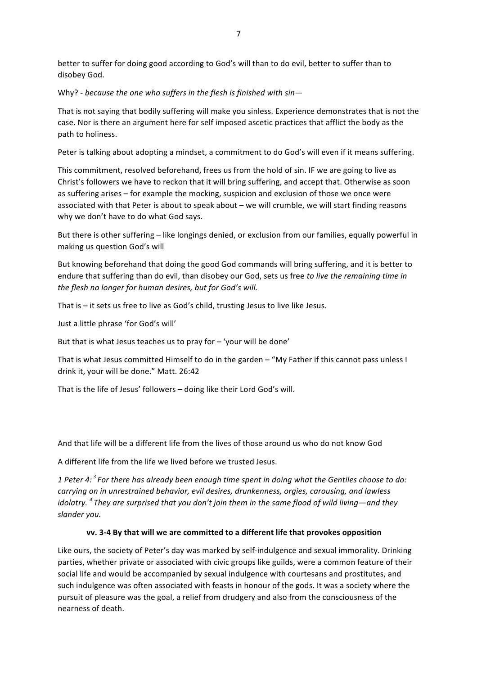better to suffer for doing good according to God's will than to do evil, better to suffer than to disobey God.

Why? - because the one who suffers in the flesh is finished with sin-

That is not saying that bodily suffering will make you sinless. Experience demonstrates that is not the case. Nor is there an argument here for self imposed ascetic practices that afflict the body as the path to holiness.

Peter is talking about adopting a mindset, a commitment to do God's will even if it means suffering.

This commitment, resolved beforehand, frees us from the hold of sin. IF we are going to live as Christ's followers we have to reckon that it will bring suffering, and accept that. Otherwise as soon as suffering arises – for example the mocking, suspicion and exclusion of those we once were associated with that Peter is about to speak about - we will crumble, we will start finding reasons why we don't have to do what God says.

But there is other suffering – like longings denied, or exclusion from our families, equally powerful in making us question God's will

But knowing beforehand that doing the good God commands will bring suffering, and it is better to endure that suffering than do evil, than disobey our God, sets us free to live the remaining time in *the flesh no longer for human desires, but for God's will.* 

That  $is - it sets us free to live as God's child, trusting Jesus to live like Jesus.$ 

Just a little phrase 'for God's will'

But that is what Jesus teaches us to pray for  $-$  'your will be done'

That is what Jesus committed Himself to do in the garden – "My Father if this cannot pass unless I drink it, your will be done." Matt. 26:42

That is the life of Jesus' followers - doing like their Lord God's will.

And that life will be a different life from the lives of those around us who do not know God

A different life from the life we lived before we trusted Jesus.

1 Peter 4:<sup>3</sup> For there has already been enough time spent in doing what the Gentiles choose to do: *carrying* on in unrestrained behavior, evil desires, drunkenness, orgies, carousing, and lawless *idolatry.* <sup>4</sup> They are surprised that you don't join them in the same flood of wild living—and they *slander you.*

# **vv.** 3-4 By that will we are committed to a different life that provokes opposition

Like ours, the society of Peter's day was marked by self-indulgence and sexual immorality. Drinking parties, whether private or associated with civic groups like guilds, were a common feature of their social life and would be accompanied by sexual indulgence with courtesans and prostitutes, and such indulgence was often associated with feasts in honour of the gods. It was a society where the pursuit of pleasure was the goal, a relief from drudgery and also from the consciousness of the nearness of death.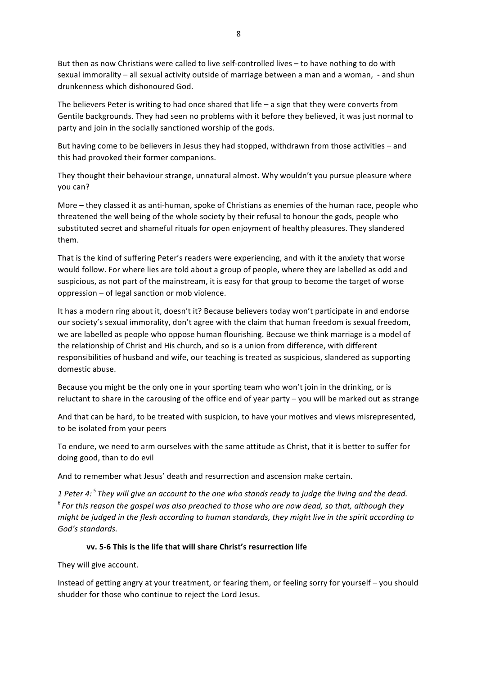But then as now Christians were called to live self-controlled lives - to have nothing to do with sexual immorality - all sexual activity outside of marriage between a man and a woman, - and shun drunkenness which dishonoured God.

The believers Peter is writing to had once shared that life  $-$  a sign that they were converts from Gentile backgrounds. They had seen no problems with it before they believed, it was just normal to party and join in the socially sanctioned worship of the gods.

But having come to be believers in Jesus they had stopped, withdrawn from those activities – and this had provoked their former companions.

They thought their behaviour strange, unnatural almost. Why wouldn't you pursue pleasure where you can?

More – they classed it as anti-human, spoke of Christians as enemies of the human race, people who threatened the well being of the whole society by their refusal to honour the gods, people who substituted secret and shameful rituals for open enjoyment of healthy pleasures. They slandered them.

That is the kind of suffering Peter's readers were experiencing, and with it the anxiety that worse would follow. For where lies are told about a group of people, where they are labelled as odd and suspicious, as not part of the mainstream, it is easy for that group to become the target of worse oppression  $-$  of legal sanction or mob violence.

It has a modern ring about it, doesn't it? Because believers today won't participate in and endorse our society's sexual immorality, don't agree with the claim that human freedom is sexual freedom, we are labelled as people who oppose human flourishing. Because we think marriage is a model of the relationship of Christ and His church, and so is a union from difference, with different responsibilities of husband and wife, our teaching is treated as suspicious, slandered as supporting domestic abuse.

Because you might be the only one in your sporting team who won't join in the drinking, or is reluctant to share in the carousing of the office end of year party – you will be marked out as strange

And that can be hard, to be treated with suspicion, to have your motives and views misrepresented, to be isolated from your peers

To endure, we need to arm ourselves with the same attitude as Christ, that it is better to suffer for doing good, than to do evil

And to remember what Jesus' death and resurrection and ascension make certain.

*1* Peter 4:<sup>5</sup> They will give an account to the one who stands ready to judge the living and the dead. <sup>6</sup> For this reason the gospel was also preached to those who are now dead, so that, although they *might be judged in the flesh according to human standards, they might live in the spirit according to* God's standards.

# **vv.** 5-6 This is the life that will share Christ's resurrection life

They will give account.

Instead of getting angry at your treatment, or fearing them, or feeling sorry for yourself – you should shudder for those who continue to reject the Lord Jesus.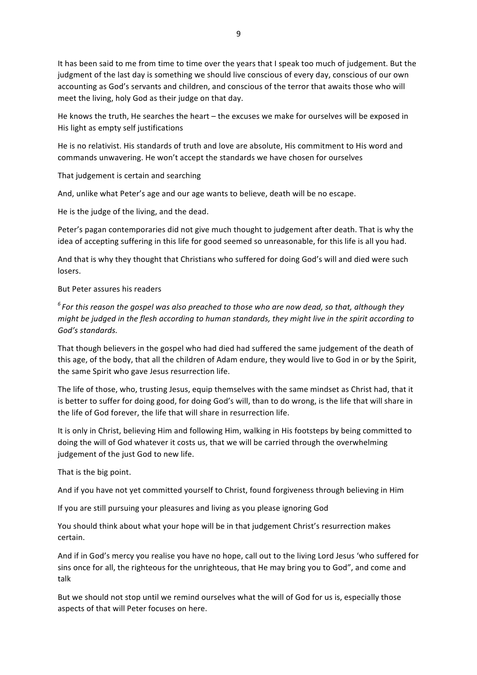9

It has been said to me from time to time over the years that I speak too much of judgement. But the judgment of the last day is something we should live conscious of every day, conscious of our own accounting as God's servants and children, and conscious of the terror that awaits those who will meet the living, holy God as their judge on that day.

He knows the truth, He searches the heart  $-$  the excuses we make for ourselves will be exposed in His light as empty self justifications

He is no relativist. His standards of truth and love are absolute. His commitment to His word and commands unwavering. He won't accept the standards we have chosen for ourselves

That judgement is certain and searching

And, unlike what Peter's age and our age wants to believe, death will be no escape.

He is the judge of the living, and the dead.

Peter's pagan contemporaries did not give much thought to judgement after death. That is why the idea of accepting suffering in this life for good seemed so unreasonable, for this life is all you had.

And that is why they thought that Christians who suffered for doing God's will and died were such losers.

But Peter assures his readers 

<sup>6</sup> For this reason the gospel was also preached to those who are now dead, so that, although they *might* be judged in the flesh according to human standards, they might live in the spirit according to God's standards.

That though believers in the gospel who had died had suffered the same judgement of the death of this age, of the body, that all the children of Adam endure, they would live to God in or by the Spirit, the same Spirit who gave Jesus resurrection life.

The life of those, who, trusting Jesus, equip themselves with the same mindset as Christ had, that it is better to suffer for doing good, for doing God's will, than to do wrong, is the life that will share in the life of God forever, the life that will share in resurrection life.

It is only in Christ, believing Him and following Him, walking in His footsteps by being committed to doing the will of God whatever it costs us, that we will be carried through the overwhelming judgement of the just God to new life.

That is the big point.

And if you have not yet committed yourself to Christ, found forgiveness through believing in Him

If you are still pursuing your pleasures and living as you please ignoring God

You should think about what your hope will be in that judgement Christ's resurrection makes certain.

And if in God's mercy you realise you have no hope, call out to the living Lord Jesus 'who suffered for sins once for all, the righteous for the unrighteous, that He may bring you to God", and come and talk

But we should not stop until we remind ourselves what the will of God for us is, especially those aspects of that will Peter focuses on here.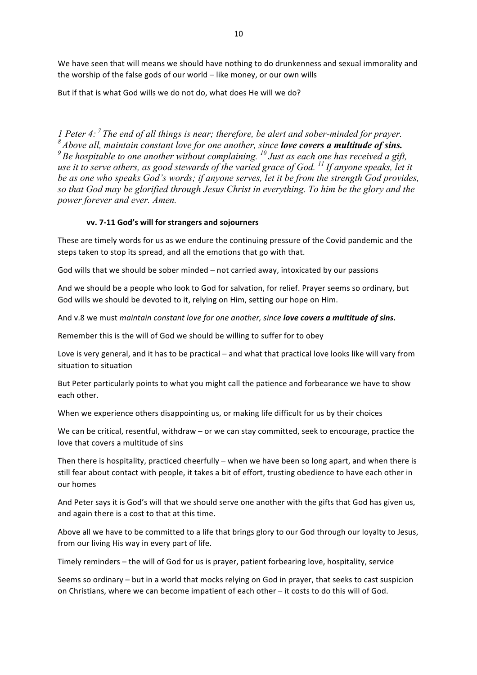We have seen that will means we should have nothing to do drunkenness and sexual immorality and the worship of the false gods of our world - like money, or our own wills

But if that is what God wills we do not do, what does He will we do?

*1 Peter 4: <sup>7</sup> The end of all things is near; therefore, be alert and sober-minded for prayer. <sup>8</sup> Above all, maintain constant love for one another, since love covers a multitude of sins. <sup>9</sup> Be hospitable to one another without complaining. <sup>10</sup> Just as each one has received a gift, use it to serve others, as good stewards of the varied grace of God. <sup>11</sup> If anyone speaks, let it be as one who speaks God's words; if anyone serves, let it be from the strength God provides, so that God may be glorified through Jesus Christ in everything. To him be the glory and the power forever and ever. Amen.*

## vv. 7-11 God's will for strangers and sojourners

These are timely words for us as we endure the continuing pressure of the Covid pandemic and the steps taken to stop its spread, and all the emotions that go with that.

God wills that we should be sober minded – not carried away, intoxicated by our passions

And we should be a people who look to God for salvation, for relief. Prayer seems so ordinary, but God wills we should be devoted to it, relying on Him, setting our hope on Him.

And v.8 we must *maintain constant love for one another, since love covers a multitude of sins.* 

Remember this is the will of God we should be willing to suffer for to obey

Love is very general, and it has to be practical – and what that practical love looks like will vary from situation to situation

But Peter particularly points to what you might call the patience and forbearance we have to show each other. 

When we experience others disappointing us, or making life difficult for us by their choices

We can be critical, resentful, withdraw  $-$  or we can stay committed, seek to encourage, practice the love that covers a multitude of sins

Then there is hospitality, practiced cheerfully – when we have been so long apart, and when there is still fear about contact with people, it takes a bit of effort, trusting obedience to have each other in our homes

And Peter says it is God's will that we should serve one another with the gifts that God has given us, and again there is a cost to that at this time.

Above all we have to be committed to a life that brings glory to our God through our loyalty to Jesus, from our living His way in every part of life.

Timely reminders – the will of God for us is prayer, patient forbearing love, hospitality, service

Seems so ordinary – but in a world that mocks relying on God in prayer, that seeks to cast suspicion on Christians, where we can become impatient of each other – it costs to do this will of God.